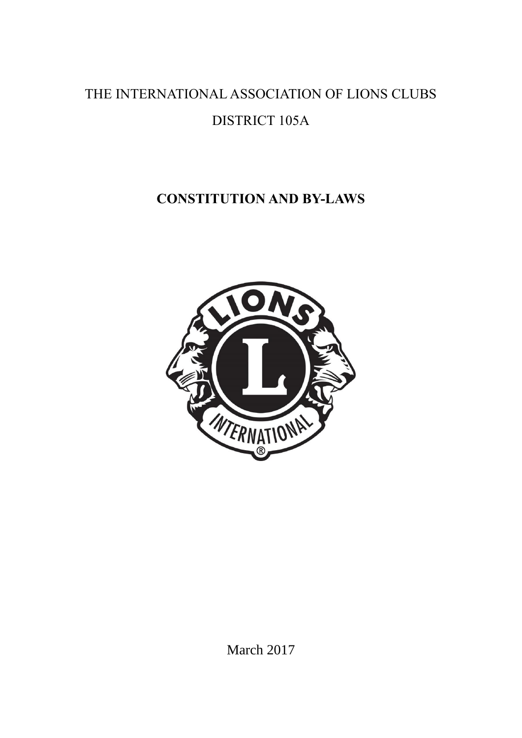# THE INTERNATIONAL ASSOCIATION OF LIONS CLUBS DISTRICT 105A

# **CONSTITUTION AND BY-LAWS**



March 2017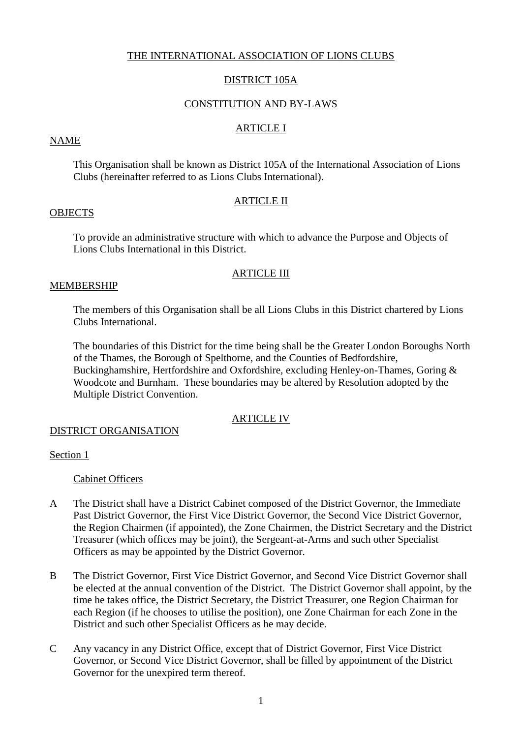# THE INTERNATIONAL ASSOCIATION OF LIONS CLUBS

# DISTRICT 105A

## CONSTITUTION AND BY-LAWS

# ARTICLE I

## NAME

This Organisation shall be known as District 105A of the International Association of Lions Clubs (hereinafter referred to as Lions Clubs International).

## ARTICLE II

## **OBJECTS**

To provide an administrative structure with which to advance the Purpose and Objects of Lions Clubs International in this District.

## ARTICLE III

# MEMBERSHIP

The members of this Organisation shall be all Lions Clubs in this District chartered by Lions Clubs International.

The boundaries of this District for the time being shall be the Greater London Boroughs North of the Thames, the Borough of Spelthorne, and the Counties of Bedfordshire, Buckinghamshire, Hertfordshire and Oxfordshire, excluding Henley-on-Thames, Goring & Woodcote and Burnham. These boundaries may be altered by Resolution adopted by the Multiple District Convention.

## ARTICLE IV

## DISTRICT ORGANISATION

## Section 1

Cabinet Officers

- A The District shall have a District Cabinet composed of the District Governor, the Immediate Past District Governor, the First Vice District Governor, the Second Vice District Governor, the Region Chairmen (if appointed), the Zone Chairmen, the District Secretary and the District Treasurer (which offices may be joint), the Sergeant-at-Arms and such other Specialist Officers as may be appointed by the District Governor.
- B The District Governor, First Vice District Governor, and Second Vice District Governor shall be elected at the annual convention of the District. The District Governor shall appoint, by the time he takes office, the District Secretary, the District Treasurer, one Region Chairman for each Region (if he chooses to utilise the position), one Zone Chairman for each Zone in the District and such other Specialist Officers as he may decide.
- C Any vacancy in any District Office, except that of District Governor, First Vice District Governor, or Second Vice District Governor, shall be filled by appointment of the District Governor for the unexpired term thereof.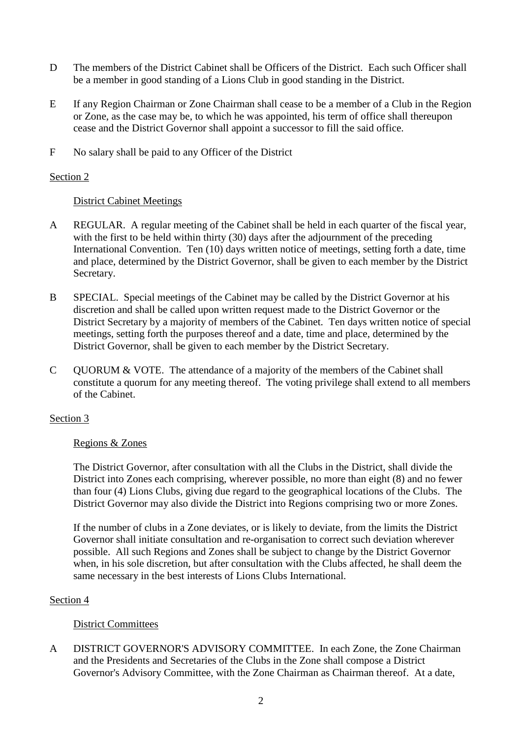- D The members of the District Cabinet shall be Officers of the District. Each such Officer shall be a member in good standing of a Lions Club in good standing in the District.
- E If any Region Chairman or Zone Chairman shall cease to be a member of a Club in the Region or Zone, as the case may be, to which he was appointed, his term of office shall thereupon cease and the District Governor shall appoint a successor to fill the said office.
- F No salary shall be paid to any Officer of the District

# District Cabinet Meetings

- A REGULAR. A regular meeting of the Cabinet shall be held in each quarter of the fiscal year, with the first to be held within thirty (30) days after the adjournment of the preceding International Convention. Ten (10) days written notice of meetings, setting forth a date, time and place, determined by the District Governor, shall be given to each member by the District Secretary.
- B SPECIAL. Special meetings of the Cabinet may be called by the District Governor at his discretion and shall be called upon written request made to the District Governor or the District Secretary by a majority of members of the Cabinet. Ten days written notice of special meetings, setting forth the purposes thereof and a date, time and place, determined by the District Governor, shall be given to each member by the District Secretary.
- C QUORUM & VOTE. The attendance of a majority of the members of the Cabinet shall constitute a quorum for any meeting thereof. The voting privilege shall extend to all members of the Cabinet.

# Section 3

# Regions & Zones

The District Governor, after consultation with all the Clubs in the District, shall divide the District into Zones each comprising, wherever possible, no more than eight (8) and no fewer than four (4) Lions Clubs, giving due regard to the geographical locations of the Clubs. The District Governor may also divide the District into Regions comprising two or more Zones.

If the number of clubs in a Zone deviates, or is likely to deviate, from the limits the District Governor shall initiate consultation and re-organisation to correct such deviation wherever possible. All such Regions and Zones shall be subject to change by the District Governor when, in his sole discretion, but after consultation with the Clubs affected, he shall deem the same necessary in the best interests of Lions Clubs International.

# Section 4

# District Committees

A DISTRICT GOVERNOR'S ADVISORY COMMITTEE. In each Zone, the Zone Chairman and the Presidents and Secretaries of the Clubs in the Zone shall compose a District Governor's Advisory Committee, with the Zone Chairman as Chairman thereof. At a date,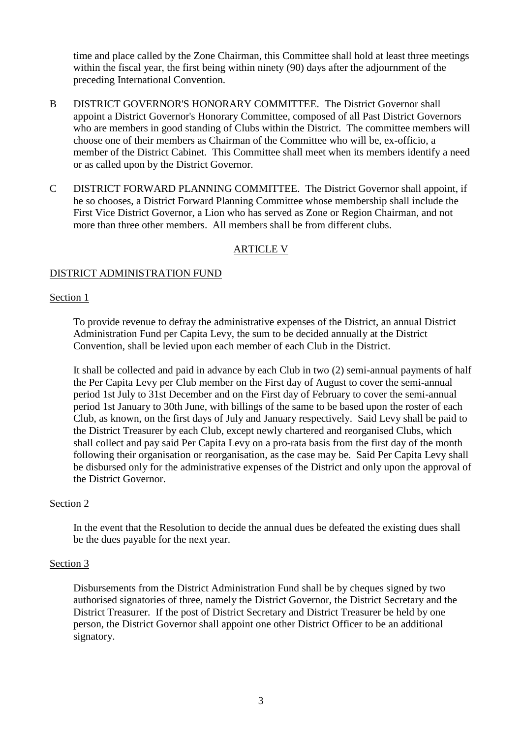time and place called by the Zone Chairman, this Committee shall hold at least three meetings within the fiscal year, the first being within ninety (90) days after the adjournment of the preceding International Convention.

- B DISTRICT GOVERNOR'S HONORARY COMMITTEE. The District Governor shall appoint a District Governor's Honorary Committee, composed of all Past District Governors who are members in good standing of Clubs within the District. The committee members will choose one of their members as Chairman of the Committee who will be, ex-officio, a member of the District Cabinet. This Committee shall meet when its members identify a need or as called upon by the District Governor.
- C DISTRICT FORWARD PLANNING COMMITTEE. The District Governor shall appoint, if he so chooses, a District Forward Planning Committee whose membership shall include the First Vice District Governor, a Lion who has served as Zone or Region Chairman, and not more than three other members. All members shall be from different clubs.

## ARTICLE V

# DISTRICT ADMINISTRATION FUND

## Section 1

To provide revenue to defray the administrative expenses of the District, an annual District Administration Fund per Capita Levy, the sum to be decided annually at the District Convention, shall be levied upon each member of each Club in the District.

It shall be collected and paid in advance by each Club in two (2) semi-annual payments of half the Per Capita Levy per Club member on the First day of August to cover the semi-annual period 1st July to 31st December and on the First day of February to cover the semi-annual period 1st January to 30th June, with billings of the same to be based upon the roster of each Club, as known, on the first days of July and January respectively. Said Levy shall be paid to the District Treasurer by each Club, except newly chartered and reorganised Clubs, which shall collect and pay said Per Capita Levy on a pro-rata basis from the first day of the month following their organisation or reorganisation, as the case may be. Said Per Capita Levy shall be disbursed only for the administrative expenses of the District and only upon the approval of the District Governor.

#### Section 2

In the event that the Resolution to decide the annual dues be defeated the existing dues shall be the dues payable for the next year.

#### Section 3

Disbursements from the District Administration Fund shall be by cheques signed by two authorised signatories of three, namely the District Governor, the District Secretary and the District Treasurer. If the post of District Secretary and District Treasurer be held by one person, the District Governor shall appoint one other District Officer to be an additional signatory.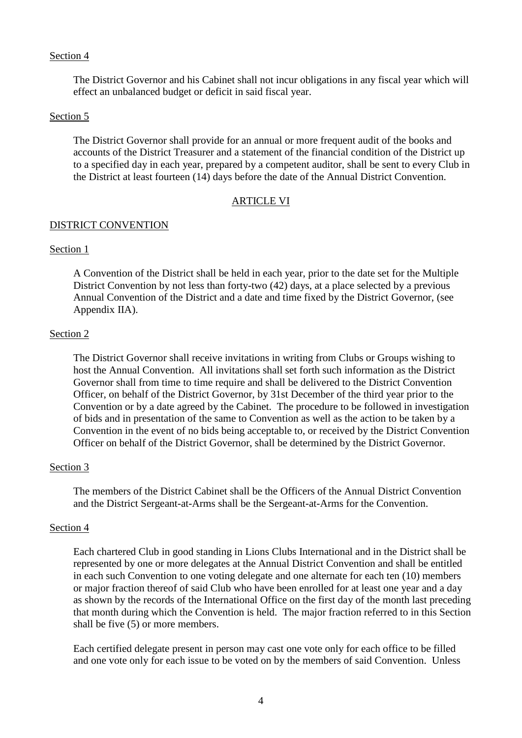The District Governor and his Cabinet shall not incur obligations in any fiscal year which will effect an unbalanced budget or deficit in said fiscal year.

#### Section 5

The District Governor shall provide for an annual or more frequent audit of the books and accounts of the District Treasurer and a statement of the financial condition of the District up to a specified day in each year, prepared by a competent auditor, shall be sent to every Club in the District at least fourteen (14) days before the date of the Annual District Convention.

#### ARTICLE VI

#### DISTRICT CONVENTION

#### Section 1

A Convention of the District shall be held in each year, prior to the date set for the Multiple District Convention by not less than forty-two (42) days, at a place selected by a previous Annual Convention of the District and a date and time fixed by the District Governor, (see Appendix IIA).

#### Section 2

The District Governor shall receive invitations in writing from Clubs or Groups wishing to host the Annual Convention. All invitations shall set forth such information as the District Governor shall from time to time require and shall be delivered to the District Convention Officer, on behalf of the District Governor, by 31st December of the third year prior to the Convention or by a date agreed by the Cabinet. The procedure to be followed in investigation of bids and in presentation of the same to Convention as well as the action to be taken by a Convention in the event of no bids being acceptable to, or received by the District Convention Officer on behalf of the District Governor, shall be determined by the District Governor.

## Section 3

The members of the District Cabinet shall be the Officers of the Annual District Convention and the District Sergeant-at-Arms shall be the Sergeant-at-Arms for the Convention.

#### Section 4

Each chartered Club in good standing in Lions Clubs International and in the District shall be represented by one or more delegates at the Annual District Convention and shall be entitled in each such Convention to one voting delegate and one alternate for each ten (10) members or major fraction thereof of said Club who have been enrolled for at least one year and a day as shown by the records of the International Office on the first day of the month last preceding that month during which the Convention is held. The major fraction referred to in this Section shall be five (5) or more members.

Each certified delegate present in person may cast one vote only for each office to be filled and one vote only for each issue to be voted on by the members of said Convention. Unless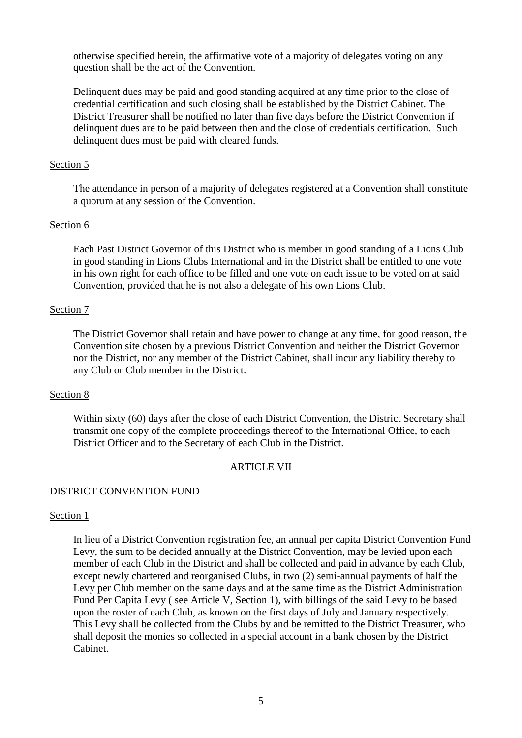otherwise specified herein, the affirmative vote of a majority of delegates voting on any question shall be the act of the Convention.

Delinquent dues may be paid and good standing acquired at any time prior to the close of credential certification and such closing shall be established by the District Cabinet. The District Treasurer shall be notified no later than five days before the District Convention if delinquent dues are to be paid between then and the close of credentials certification. Such delinquent dues must be paid with cleared funds.

## Section 5

The attendance in person of a majority of delegates registered at a Convention shall constitute a quorum at any session of the Convention.

# Section 6

Each Past District Governor of this District who is member in good standing of a Lions Club in good standing in Lions Clubs International and in the District shall be entitled to one vote in his own right for each office to be filled and one vote on each issue to be voted on at said Convention, provided that he is not also a delegate of his own Lions Club.

## Section 7

The District Governor shall retain and have power to change at any time, for good reason, the Convention site chosen by a previous District Convention and neither the District Governor nor the District, nor any member of the District Cabinet, shall incur any liability thereby to any Club or Club member in the District.

## Section 8

Within sixty (60) days after the close of each District Convention, the District Secretary shall transmit one copy of the complete proceedings thereof to the International Office, to each District Officer and to the Secretary of each Club in the District.

# ARTICLE VII

# DISTRICT CONVENTION FUND

## Section 1

In lieu of a District Convention registration fee, an annual per capita District Convention Fund Levy, the sum to be decided annually at the District Convention, may be levied upon each member of each Club in the District and shall be collected and paid in advance by each Club, except newly chartered and reorganised Clubs, in two (2) semi-annual payments of half the Levy per Club member on the same days and at the same time as the District Administration Fund Per Capita Levy ( see Article V, Section 1), with billings of the said Levy to be based upon the roster of each Club, as known on the first days of July and January respectively. This Levy shall be collected from the Clubs by and be remitted to the District Treasurer, who shall deposit the monies so collected in a special account in a bank chosen by the District Cabinet.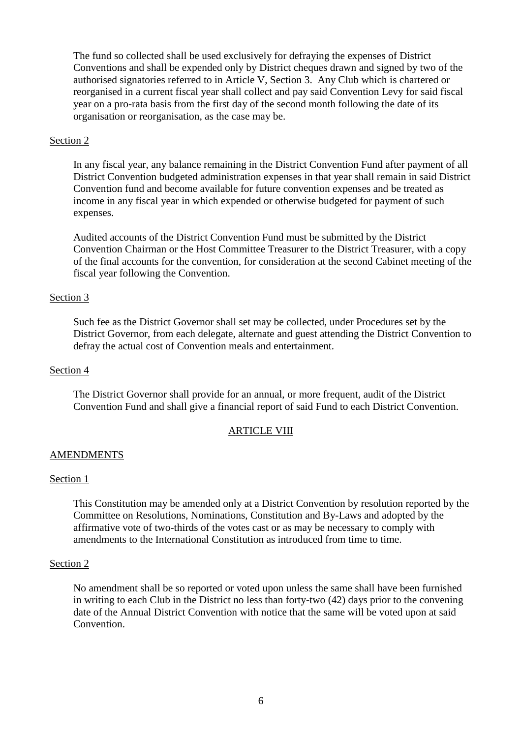The fund so collected shall be used exclusively for defraying the expenses of District Conventions and shall be expended only by District cheques drawn and signed by two of the authorised signatories referred to in Article V, Section 3. Any Club which is chartered or reorganised in a current fiscal year shall collect and pay said Convention Levy for said fiscal year on a pro-rata basis from the first day of the second month following the date of its organisation or reorganisation, as the case may be.

#### Section 2

In any fiscal year, any balance remaining in the District Convention Fund after payment of all District Convention budgeted administration expenses in that year shall remain in said District Convention fund and become available for future convention expenses and be treated as income in any fiscal year in which expended or otherwise budgeted for payment of such expenses.

Audited accounts of the District Convention Fund must be submitted by the District Convention Chairman or the Host Committee Treasurer to the District Treasurer, with a copy of the final accounts for the convention, for consideration at the second Cabinet meeting of the fiscal year following the Convention.

#### Section 3

Such fee as the District Governor shall set may be collected, under Procedures set by the District Governor, from each delegate, alternate and guest attending the District Convention to defray the actual cost of Convention meals and entertainment.

#### Section 4

The District Governor shall provide for an annual, or more frequent, audit of the District Convention Fund and shall give a financial report of said Fund to each District Convention.

## ARTICLE VIII

## **AMENDMENTS**

#### Section 1

This Constitution may be amended only at a District Convention by resolution reported by the Committee on Resolutions, Nominations, Constitution and By-Laws and adopted by the affirmative vote of two-thirds of the votes cast or as may be necessary to comply with amendments to the International Constitution as introduced from time to time.

#### Section 2

No amendment shall be so reported or voted upon unless the same shall have been furnished in writing to each Club in the District no less than forty-two (42) days prior to the convening date of the Annual District Convention with notice that the same will be voted upon at said Convention.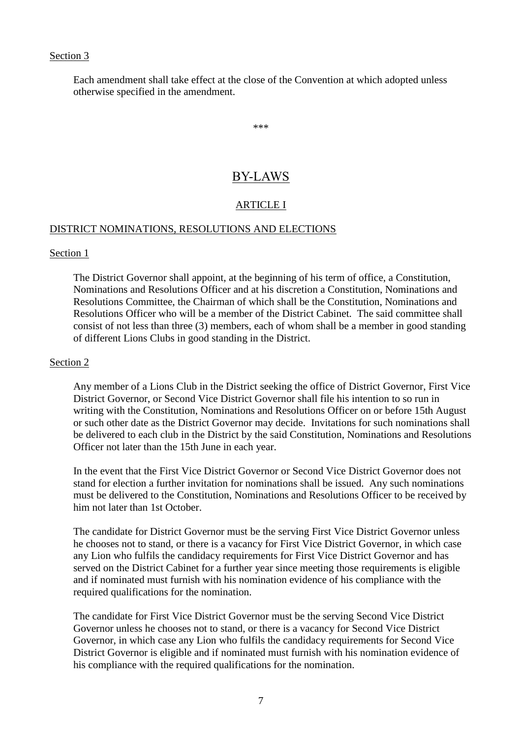Each amendment shall take effect at the close of the Convention at which adopted unless otherwise specified in the amendment.

\*\*\*

# BY-LAWS

# ARTICLE I

## DISTRICT NOMINATIONS, RESOLUTIONS AND ELECTIONS

#### Section 1

The District Governor shall appoint, at the beginning of his term of office, a Constitution, Nominations and Resolutions Officer and at his discretion a Constitution, Nominations and Resolutions Committee, the Chairman of which shall be the Constitution, Nominations and Resolutions Officer who will be a member of the District Cabinet. The said committee shall consist of not less than three (3) members, each of whom shall be a member in good standing of different Lions Clubs in good standing in the District.

#### Section 2

Any member of a Lions Club in the District seeking the office of District Governor, First Vice District Governor, or Second Vice District Governor shall file his intention to so run in writing with the Constitution, Nominations and Resolutions Officer on or before 15th August or such other date as the District Governor may decide. Invitations for such nominations shall be delivered to each club in the District by the said Constitution, Nominations and Resolutions Officer not later than the 15th June in each year.

In the event that the First Vice District Governor or Second Vice District Governor does not stand for election a further invitation for nominations shall be issued. Any such nominations must be delivered to the Constitution, Nominations and Resolutions Officer to be received by him not later than 1st October.

The candidate for District Governor must be the serving First Vice District Governor unless he chooses not to stand, or there is a vacancy for First Vice District Governor, in which case any Lion who fulfils the candidacy requirements for First Vice District Governor and has served on the District Cabinet for a further year since meeting those requirements is eligible and if nominated must furnish with his nomination evidence of his compliance with the required qualifications for the nomination.

The candidate for First Vice District Governor must be the serving Second Vice District Governor unless he chooses not to stand, or there is a vacancy for Second Vice District Governor, in which case any Lion who fulfils the candidacy requirements for Second Vice District Governor is eligible and if nominated must furnish with his nomination evidence of his compliance with the required qualifications for the nomination.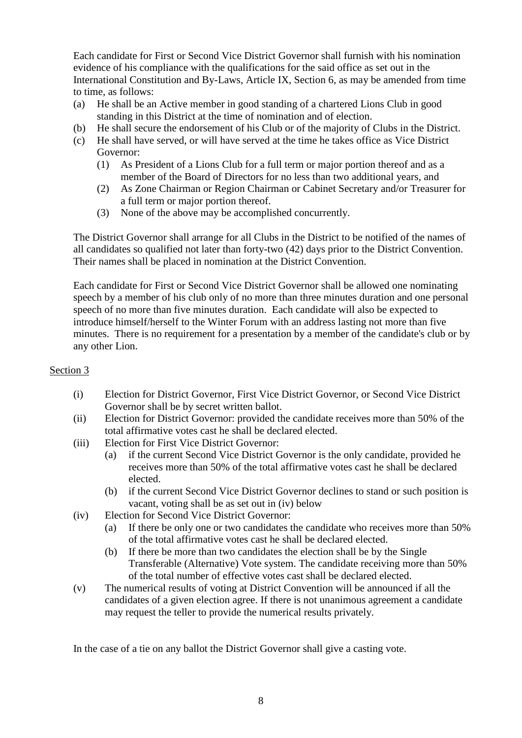Each candidate for First or Second Vice District Governor shall furnish with his nomination evidence of his compliance with the qualifications for the said office as set out in the International Constitution and By-Laws, Article IX, Section 6, as may be amended from time to time, as follows:

- (a) He shall be an Active member in good standing of a chartered Lions Club in good standing in this District at the time of nomination and of election.
- (b) He shall secure the endorsement of his Club or of the majority of Clubs in the District.
- (c) He shall have served, or will have served at the time he takes office as Vice District Governor:
	- (1) As President of a Lions Club for a full term or major portion thereof and as a member of the Board of Directors for no less than two additional years, and
	- (2) As Zone Chairman or Region Chairman or Cabinet Secretary and/or Treasurer for a full term or major portion thereof.
	- (3) None of the above may be accomplished concurrently.

The District Governor shall arrange for all Clubs in the District to be notified of the names of all candidates so qualified not later than forty-two (42) days prior to the District Convention. Their names shall be placed in nomination at the District Convention.

Each candidate for First or Second Vice District Governor shall be allowed one nominating speech by a member of his club only of no more than three minutes duration and one personal speech of no more than five minutes duration. Each candidate will also be expected to introduce himself/herself to the Winter Forum with an address lasting not more than five minutes. There is no requirement for a presentation by a member of the candidate's club or by any other Lion.

# Section 3

- (i) Election for District Governor, First Vice District Governor, or Second Vice District Governor shall be by secret written ballot.
- (ii) Election for District Governor: provided the candidate receives more than 50% of the total affirmative votes cast he shall be declared elected.
- (iii) Election for First Vice District Governor:
	- (a) if the current Second Vice District Governor is the only candidate, provided he receives more than 50% of the total affirmative votes cast he shall be declared elected.
	- (b) if the current Second Vice District Governor declines to stand or such position is vacant, voting shall be as set out in (iv) below
- (iv) Election for Second Vice District Governor:
	- (a) If there be only one or two candidates the candidate who receives more than 50% of the total affirmative votes cast he shall be declared elected.
	- (b) If there be more than two candidates the election shall be by the Single Transferable (Alternative) Vote system. The candidate receiving more than 50% of the total number of effective votes cast shall be declared elected.
- (v) The numerical results of voting at District Convention will be announced if all the candidates of a given election agree. If there is not unanimous agreement a candidate may request the teller to provide the numerical results privately.

In the case of a tie on any ballot the District Governor shall give a casting vote.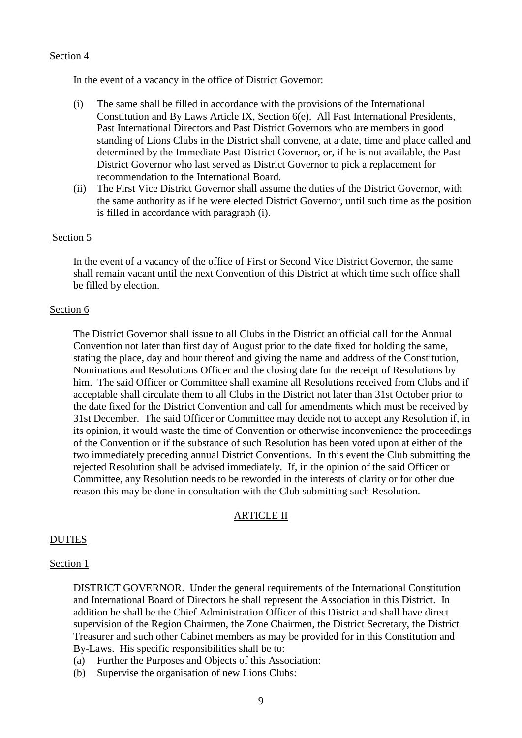In the event of a vacancy in the office of District Governor:

- (i) The same shall be filled in accordance with the provisions of the International Constitution and By Laws Article IX, Section 6(e). All Past International Presidents, Past International Directors and Past District Governors who are members in good standing of Lions Clubs in the District shall convene, at a date, time and place called and determined by the Immediate Past District Governor, or, if he is not available, the Past District Governor who last served as District Governor to pick a replacement for recommendation to the International Board.
- (ii) The First Vice District Governor shall assume the duties of the District Governor, with the same authority as if he were elected District Governor, until such time as the position is filled in accordance with paragraph (i).

#### Section 5

In the event of a vacancy of the office of First or Second Vice District Governor, the same shall remain vacant until the next Convention of this District at which time such office shall be filled by election.

#### Section 6

The District Governor shall issue to all Clubs in the District an official call for the Annual Convention not later than first day of August prior to the date fixed for holding the same, stating the place, day and hour thereof and giving the name and address of the Constitution, Nominations and Resolutions Officer and the closing date for the receipt of Resolutions by him. The said Officer or Committee shall examine all Resolutions received from Clubs and if acceptable shall circulate them to all Clubs in the District not later than 31st October prior to the date fixed for the District Convention and call for amendments which must be received by 31st December. The said Officer or Committee may decide not to accept any Resolution if, in its opinion, it would waste the time of Convention or otherwise inconvenience the proceedings of the Convention or if the substance of such Resolution has been voted upon at either of the two immediately preceding annual District Conventions. In this event the Club submitting the rejected Resolution shall be advised immediately. If, in the opinion of the said Officer or Committee, any Resolution needs to be reworded in the interests of clarity or for other due reason this may be done in consultation with the Club submitting such Resolution.

#### ARTICLE II

## DUTIES

#### Section 1

DISTRICT GOVERNOR. Under the general requirements of the International Constitution and International Board of Directors he shall represent the Association in this District. In addition he shall be the Chief Administration Officer of this District and shall have direct supervision of the Region Chairmen, the Zone Chairmen, the District Secretary, the District Treasurer and such other Cabinet members as may be provided for in this Constitution and By-Laws. His specific responsibilities shall be to:

- (a) Further the Purposes and Objects of this Association:
- (b) Supervise the organisation of new Lions Clubs: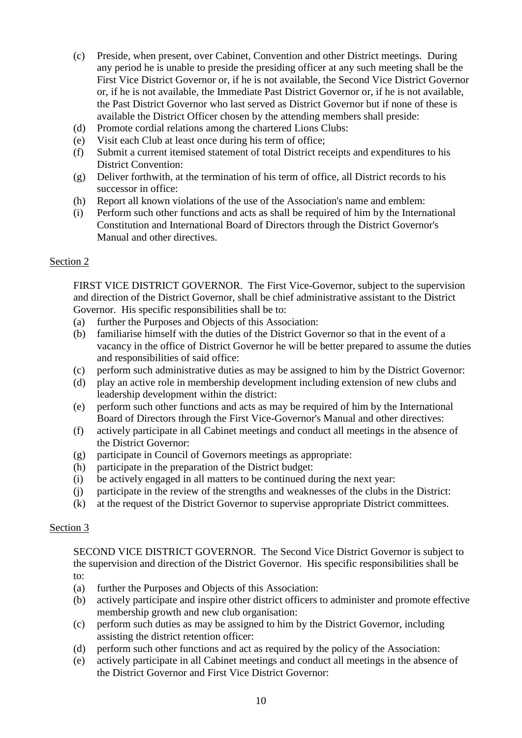- (c) Preside, when present, over Cabinet, Convention and other District meetings. During any period he is unable to preside the presiding officer at any such meeting shall be the First Vice District Governor or, if he is not available, the Second Vice District Governor or, if he is not available, the Immediate Past District Governor or, if he is not available, the Past District Governor who last served as District Governor but if none of these is available the District Officer chosen by the attending members shall preside:
- (d) Promote cordial relations among the chartered Lions Clubs:
- (e) Visit each Club at least once during his term of office;
- (f) Submit a current itemised statement of total District receipts and expenditures to his District Convention:
- (g) Deliver forthwith, at the termination of his term of office, all District records to his successor in office:
- (h) Report all known violations of the use of the Association's name and emblem:
- (i) Perform such other functions and acts as shall be required of him by the International Constitution and International Board of Directors through the District Governor's Manual and other directives.

FIRST VICE DISTRICT GOVERNOR. The First Vice-Governor, subject to the supervision and direction of the District Governor, shall be chief administrative assistant to the District Governor. His specific responsibilities shall be to:

- (a) further the Purposes and Objects of this Association:
- (b) familiarise himself with the duties of the District Governor so that in the event of a vacancy in the office of District Governor he will be better prepared to assume the duties and responsibilities of said office:
- (c) perform such administrative duties as may be assigned to him by the District Governor:
- (d) play an active role in membership development including extension of new clubs and leadership development within the district:
- (e) perform such other functions and acts as may be required of him by the International Board of Directors through the First Vice-Governor's Manual and other directives:
- (f) actively participate in all Cabinet meetings and conduct all meetings in the absence of the District Governor:
- (g) participate in Council of Governors meetings as appropriate:
- (h) participate in the preparation of the District budget:
- (i) be actively engaged in all matters to be continued during the next year:
- (j) participate in the review of the strengths and weaknesses of the clubs in the District:
- (k) at the request of the District Governor to supervise appropriate District committees.

## Section 3

SECOND VICE DISTRICT GOVERNOR. The Second Vice District Governor is subject to the supervision and direction of the District Governor. His specific responsibilities shall be to:

- (a) further the Purposes and Objects of this Association:
- (b) actively participate and inspire other district officers to administer and promote effective membership growth and new club organisation:
- (c) perform such duties as may be assigned to him by the District Governor, including assisting the district retention officer:
- (d) perform such other functions and act as required by the policy of the Association:
- (e) actively participate in all Cabinet meetings and conduct all meetings in the absence of the District Governor and First Vice District Governor: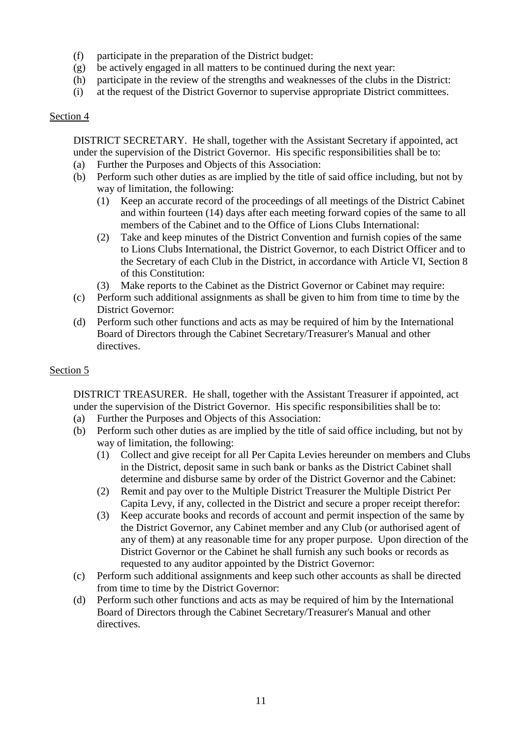- (f) participate in the preparation of the District budget:
- (g) be actively engaged in all matters to be continued during the next year:
- (h) participate in the review of the strengths and weaknesses of the clubs in the District:
- (i) at the request of the District Governor to supervise appropriate District committees.

DISTRICT SECRETARY. He shall, together with the Assistant Secretary if appointed, act under the supervision of the District Governor. His specific responsibilities shall be to:

- (a) Further the Purposes and Objects of this Association:
- (b) Perform such other duties as are implied by the title of said office including, but not by way of limitation, the following:
	- (1) Keep an accurate record of the proceedings of all meetings of the District Cabinet and within fourteen (14) days after each meeting forward copies of the same to all members of the Cabinet and to the Office of Lions Clubs International:
	- (2) Take and keep minutes of the District Convention and furnish copies of the same to Lions Clubs International, the District Governor, to each District Officer and to the Secretary of each Club in the District, in accordance with Article VI, Section 8 of this Constitution:
	- (3) Make reports to the Cabinet as the District Governor or Cabinet may require:
- (c) Perform such additional assignments as shall be given to him from time to time by the District Governor:
- (d) Perform such other functions and acts as may be required of him by the International Board of Directors through the Cabinet Secretary/Treasurer's Manual and other directives.

# Section 5

DISTRICT TREASURER. He shall, together with the Assistant Treasurer if appointed, act under the supervision of the District Governor. His specific responsibilities shall be to:

- (a) Further the Purposes and Objects of this Association:
- (b) Perform such other duties as are implied by the title of said office including, but not by way of limitation, the following:
	- (1) Collect and give receipt for all Per Capita Levies hereunder on members and Clubs in the District, deposit same in such bank or banks as the District Cabinet shall determine and disburse same by order of the District Governor and the Cabinet:
	- (2) Remit and pay over to the Multiple District Treasurer the Multiple District Per Capita Levy, if any, collected in the District and secure a proper receipt therefor:
	- (3) Keep accurate books and records of account and permit inspection of the same by the District Governor, any Cabinet member and any Club (or authorised agent of any of them) at any reasonable time for any proper purpose. Upon direction of the District Governor or the Cabinet he shall furnish any such books or records as requested to any auditor appointed by the District Governor:
- (c) Perform such additional assignments and keep such other accounts as shall be directed from time to time by the District Governor:
- (d) Perform such other functions and acts as may be required of him by the International Board of Directors through the Cabinet Secretary/Treasurer's Manual and other directives.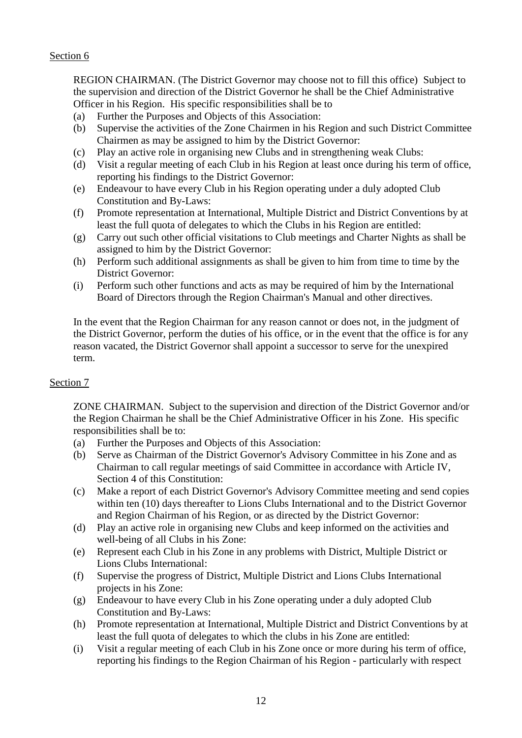REGION CHAIRMAN. (The District Governor may choose not to fill this office) Subject to the supervision and direction of the District Governor he shall be the Chief Administrative Officer in his Region. His specific responsibilities shall be to

- (a) Further the Purposes and Objects of this Association:
- (b) Supervise the activities of the Zone Chairmen in his Region and such District Committee Chairmen as may be assigned to him by the District Governor:
- (c) Play an active role in organising new Clubs and in strengthening weak Clubs:
- (d) Visit a regular meeting of each Club in his Region at least once during his term of office, reporting his findings to the District Governor:
- (e) Endeavour to have every Club in his Region operating under a duly adopted Club Constitution and By-Laws:
- (f) Promote representation at International, Multiple District and District Conventions by at least the full quota of delegates to which the Clubs in his Region are entitled:
- (g) Carry out such other official visitations to Club meetings and Charter Nights as shall be assigned to him by the District Governor:
- (h) Perform such additional assignments as shall be given to him from time to time by the District Governor:
- (i) Perform such other functions and acts as may be required of him by the International Board of Directors through the Region Chairman's Manual and other directives.

In the event that the Region Chairman for any reason cannot or does not, in the judgment of the District Governor, perform the duties of his office, or in the event that the office is for any reason vacated, the District Governor shall appoint a successor to serve for the unexpired term.

# Section 7

ZONE CHAIRMAN. Subject to the supervision and direction of the District Governor and/or the Region Chairman he shall be the Chief Administrative Officer in his Zone. His specific responsibilities shall be to:

- (a) Further the Purposes and Objects of this Association:
- (b) Serve as Chairman of the District Governor's Advisory Committee in his Zone and as Chairman to call regular meetings of said Committee in accordance with Article IV, Section 4 of this Constitution:
- (c) Make a report of each District Governor's Advisory Committee meeting and send copies within ten (10) days thereafter to Lions Clubs International and to the District Governor and Region Chairman of his Region, or as directed by the District Governor:
- (d) Play an active role in organising new Clubs and keep informed on the activities and well-being of all Clubs in his Zone:
- (e) Represent each Club in his Zone in any problems with District, Multiple District or Lions Clubs International:
- (f) Supervise the progress of District, Multiple District and Lions Clubs International projects in his Zone:
- (g) Endeavour to have every Club in his Zone operating under a duly adopted Club Constitution and By-Laws:
- (h) Promote representation at International, Multiple District and District Conventions by at least the full quota of delegates to which the clubs in his Zone are entitled:
- (i) Visit a regular meeting of each Club in his Zone once or more during his term of office, reporting his findings to the Region Chairman of his Region - particularly with respect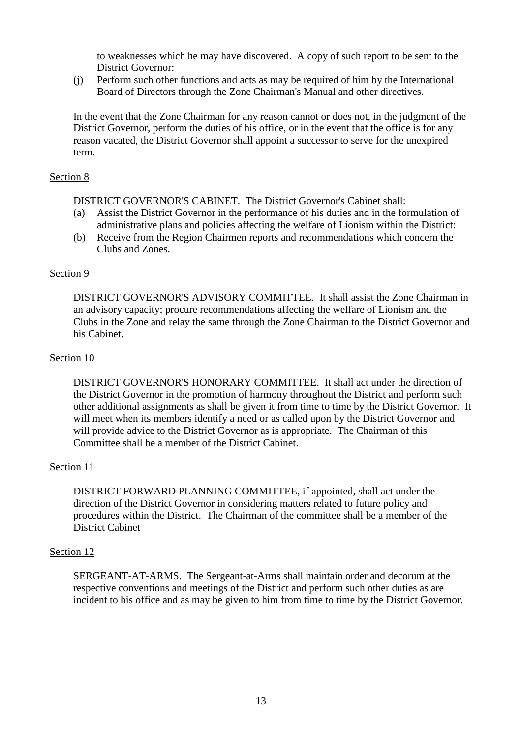to weaknesses which he may have discovered. A copy of such report to be sent to the District Governor:

(j) Perform such other functions and acts as may be required of him by the International Board of Directors through the Zone Chairman's Manual and other directives.

In the event that the Zone Chairman for any reason cannot or does not, in the judgment of the District Governor, perform the duties of his office, or in the event that the office is for any reason vacated, the District Governor shall appoint a successor to serve for the unexpired term.

## Section 8

DISTRICT GOVERNOR'S CABINET. The District Governor's Cabinet shall:

- (a) Assist the District Governor in the performance of his duties and in the formulation of administrative plans and policies affecting the welfare of Lionism within the District:
- (b) Receive from the Region Chairmen reports and recommendations which concern the Clubs and Zones.

## Section 9

DISTRICT GOVERNOR'S ADVISORY COMMITTEE. It shall assist the Zone Chairman in an advisory capacity; procure recommendations affecting the welfare of Lionism and the Clubs in the Zone and relay the same through the Zone Chairman to the District Governor and his Cabinet.

#### Section 10

DISTRICT GOVERNOR'S HONORARY COMMITTEE. It shall act under the direction of the District Governor in the promotion of harmony throughout the District and perform such other additional assignments as shall be given it from time to time by the District Governor. It will meet when its members identify a need or as called upon by the District Governor and will provide advice to the District Governor as is appropriate. The Chairman of this Committee shall be a member of the District Cabinet.

## Section 11

DISTRICT FORWARD PLANNING COMMITTEE, if appointed, shall act under the direction of the District Governor in considering matters related to future policy and procedures within the District. The Chairman of the committee shall be a member of the District Cabinet

## Section 12

SERGEANT-AT-ARMS. The Sergeant-at-Arms shall maintain order and decorum at the respective conventions and meetings of the District and perform such other duties as are incident to his office and as may be given to him from time to time by the District Governor.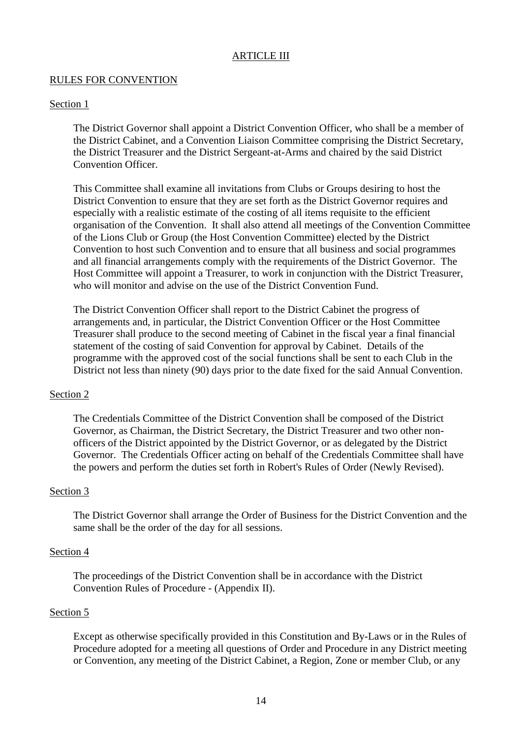## ARTICLE III

## RULES FOR CONVENTION

#### Section 1

The District Governor shall appoint a District Convention Officer, who shall be a member of the District Cabinet, and a Convention Liaison Committee comprising the District Secretary, the District Treasurer and the District Sergeant-at-Arms and chaired by the said District Convention Officer.

This Committee shall examine all invitations from Clubs or Groups desiring to host the District Convention to ensure that they are set forth as the District Governor requires and especially with a realistic estimate of the costing of all items requisite to the efficient organisation of the Convention. It shall also attend all meetings of the Convention Committee of the Lions Club or Group (the Host Convention Committee) elected by the District Convention to host such Convention and to ensure that all business and social programmes and all financial arrangements comply with the requirements of the District Governor. The Host Committee will appoint a Treasurer, to work in conjunction with the District Treasurer, who will monitor and advise on the use of the District Convention Fund.

The District Convention Officer shall report to the District Cabinet the progress of arrangements and, in particular, the District Convention Officer or the Host Committee Treasurer shall produce to the second meeting of Cabinet in the fiscal year a final financial statement of the costing of said Convention for approval by Cabinet. Details of the programme with the approved cost of the social functions shall be sent to each Club in the District not less than ninety (90) days prior to the date fixed for the said Annual Convention.

## Section 2

The Credentials Committee of the District Convention shall be composed of the District Governor, as Chairman, the District Secretary, the District Treasurer and two other nonofficers of the District appointed by the District Governor, or as delegated by the District Governor. The Credentials Officer acting on behalf of the Credentials Committee shall have the powers and perform the duties set forth in Robert's Rules of Order (Newly Revised).

#### Section 3

The District Governor shall arrange the Order of Business for the District Convention and the same shall be the order of the day for all sessions.

#### Section 4

The proceedings of the District Convention shall be in accordance with the District Convention Rules of Procedure - (Appendix II).

#### Section 5

Except as otherwise specifically provided in this Constitution and By-Laws or in the Rules of Procedure adopted for a meeting all questions of Order and Procedure in any District meeting or Convention, any meeting of the District Cabinet, a Region, Zone or member Club, or any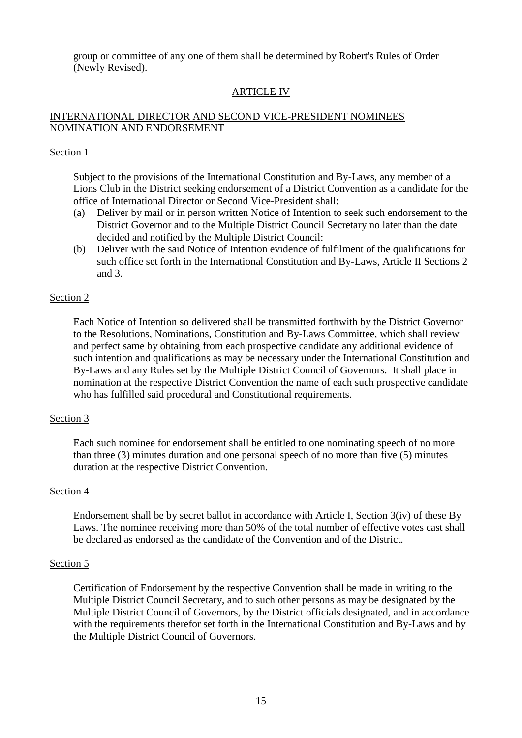group or committee of any one of them shall be determined by Robert's Rules of Order (Newly Revised).

# ARTICLE IV

## INTERNATIONAL DIRECTOR AND SECOND VICE-PRESIDENT NOMINEES NOMINATION AND ENDORSEMENT

#### Section 1

Subject to the provisions of the International Constitution and By-Laws, any member of a Lions Club in the District seeking endorsement of a District Convention as a candidate for the office of International Director or Second Vice-President shall:

- (a) Deliver by mail or in person written Notice of Intention to seek such endorsement to the District Governor and to the Multiple District Council Secretary no later than the date decided and notified by the Multiple District Council:
- (b) Deliver with the said Notice of Intention evidence of fulfilment of the qualifications for such office set forth in the International Constitution and By-Laws, Article II Sections 2 and 3.

#### Section 2

Each Notice of Intention so delivered shall be transmitted forthwith by the District Governor to the Resolutions, Nominations, Constitution and By-Laws Committee, which shall review and perfect same by obtaining from each prospective candidate any additional evidence of such intention and qualifications as may be necessary under the International Constitution and By-Laws and any Rules set by the Multiple District Council of Governors. It shall place in nomination at the respective District Convention the name of each such prospective candidate who has fulfilled said procedural and Constitutional requirements.

#### Section 3

Each such nominee for endorsement shall be entitled to one nominating speech of no more than three (3) minutes duration and one personal speech of no more than five (5) minutes duration at the respective District Convention.

#### Section 4

Endorsement shall be by secret ballot in accordance with Article I, Section 3(iv) of these By Laws. The nominee receiving more than 50% of the total number of effective votes cast shall be declared as endorsed as the candidate of the Convention and of the District.

#### Section 5

Certification of Endorsement by the respective Convention shall be made in writing to the Multiple District Council Secretary, and to such other persons as may be designated by the Multiple District Council of Governors, by the District officials designated, and in accordance with the requirements therefor set forth in the International Constitution and By-Laws and by the Multiple District Council of Governors.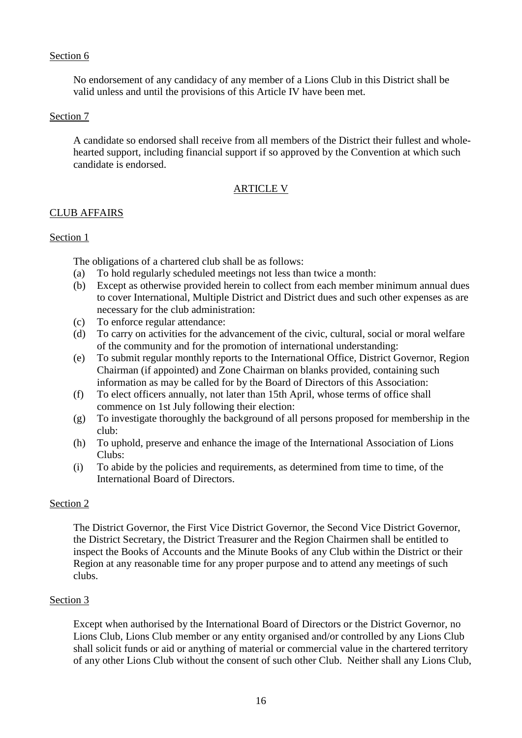No endorsement of any candidacy of any member of a Lions Club in this District shall be valid unless and until the provisions of this Article IV have been met.

## Section 7

A candidate so endorsed shall receive from all members of the District their fullest and wholehearted support, including financial support if so approved by the Convention at which such candidate is endorsed.

# ARTICLE V

# CLUB AFFAIRS

# Section 1

The obligations of a chartered club shall be as follows:

- (a) To hold regularly scheduled meetings not less than twice a month:
- (b) Except as otherwise provided herein to collect from each member minimum annual dues to cover International, Multiple District and District dues and such other expenses as are necessary for the club administration:
- (c) To enforce regular attendance:
- (d) To carry on activities for the advancement of the civic, cultural, social or moral welfare of the community and for the promotion of international understanding:
- (e) To submit regular monthly reports to the International Office, District Governor, Region Chairman (if appointed) and Zone Chairman on blanks provided, containing such information as may be called for by the Board of Directors of this Association:
- (f) To elect officers annually, not later than 15th April, whose terms of office shall commence on 1st July following their election:
- (g) To investigate thoroughly the background of all persons proposed for membership in the club:
- (h) To uphold, preserve and enhance the image of the International Association of Lions Clubs:
- (i) To abide by the policies and requirements, as determined from time to time, of the International Board of Directors.

# Section 2

The District Governor, the First Vice District Governor, the Second Vice District Governor, the District Secretary, the District Treasurer and the Region Chairmen shall be entitled to inspect the Books of Accounts and the Minute Books of any Club within the District or their Region at any reasonable time for any proper purpose and to attend any meetings of such clubs.

# Section 3

Except when authorised by the International Board of Directors or the District Governor, no Lions Club, Lions Club member or any entity organised and/or controlled by any Lions Club shall solicit funds or aid or anything of material or commercial value in the chartered territory of any other Lions Club without the consent of such other Club. Neither shall any Lions Club,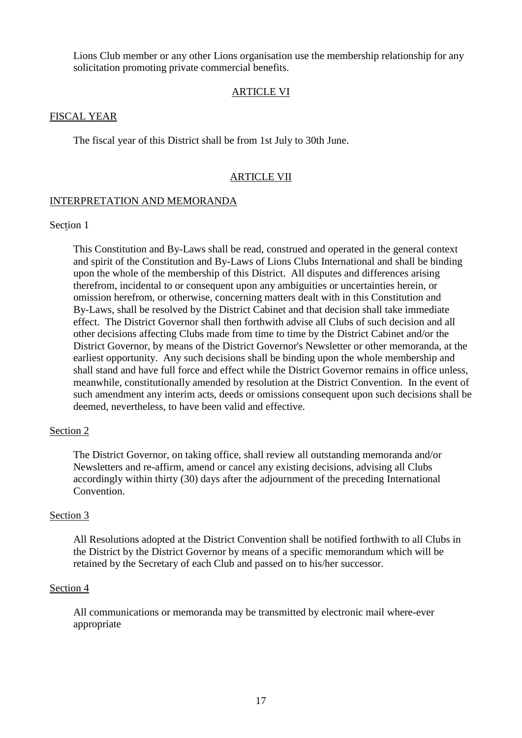Lions Club member or any other Lions organisation use the membership relationship for any solicitation promoting private commercial benefits.

## ARTICLE VI

#### FISCAL YEAR

The fiscal year of this District shall be from 1st July to 30th June.

#### ARTICLE VII

#### INTERPRETATION AND MEMORANDA

## Section 1

This Constitution and By-Laws shall be read, construed and operated in the general context and spirit of the Constitution and By-Laws of Lions Clubs International and shall be binding upon the whole of the membership of this District. All disputes and differences arising therefrom, incidental to or consequent upon any ambiguities or uncertainties herein, or omission herefrom, or otherwise, concerning matters dealt with in this Constitution and By-Laws, shall be resolved by the District Cabinet and that decision shall take immediate effect. The District Governor shall then forthwith advise all Clubs of such decision and all other decisions affecting Clubs made from time to time by the District Cabinet and/or the District Governor, by means of the District Governor's Newsletter or other memoranda, at the earliest opportunity. Any such decisions shall be binding upon the whole membership and shall stand and have full force and effect while the District Governor remains in office unless, meanwhile, constitutionally amended by resolution at the District Convention. In the event of such amendment any interim acts, deeds or omissions consequent upon such decisions shall be deemed, nevertheless, to have been valid and effective.

#### Section 2

The District Governor, on taking office, shall review all outstanding memoranda and/or Newsletters and re-affirm, amend or cancel any existing decisions, advising all Clubs accordingly within thirty (30) days after the adjournment of the preceding International Convention.

#### Section 3

All Resolutions adopted at the District Convention shall be notified forthwith to all Clubs in the District by the District Governor by means of a specific memorandum which will be retained by the Secretary of each Club and passed on to his/her successor.

#### Section 4

All communications or memoranda may be transmitted by electronic mail where-ever appropriate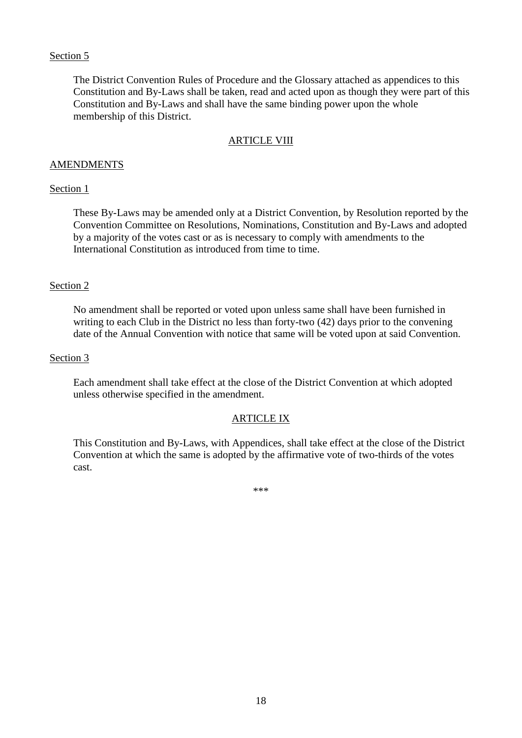The District Convention Rules of Procedure and the Glossary attached as appendices to this Constitution and By-Laws shall be taken, read and acted upon as though they were part of this Constitution and By-Laws and shall have the same binding power upon the whole membership of this District.

#### ARTICLE VIII

#### AMENDMENTS

#### Section 1

These By-Laws may be amended only at a District Convention, by Resolution reported by the Convention Committee on Resolutions, Nominations, Constitution and By-Laws and adopted by a majority of the votes cast or as is necessary to comply with amendments to the International Constitution as introduced from time to time.

#### Section 2

No amendment shall be reported or voted upon unless same shall have been furnished in writing to each Club in the District no less than forty-two (42) days prior to the convening date of the Annual Convention with notice that same will be voted upon at said Convention.

#### Section 3

Each amendment shall take effect at the close of the District Convention at which adopted unless otherwise specified in the amendment.

## ARTICLE IX

This Constitution and By-Laws, with Appendices, shall take effect at the close of the District Convention at which the same is adopted by the affirmative vote of two-thirds of the votes cast.

\*\*\*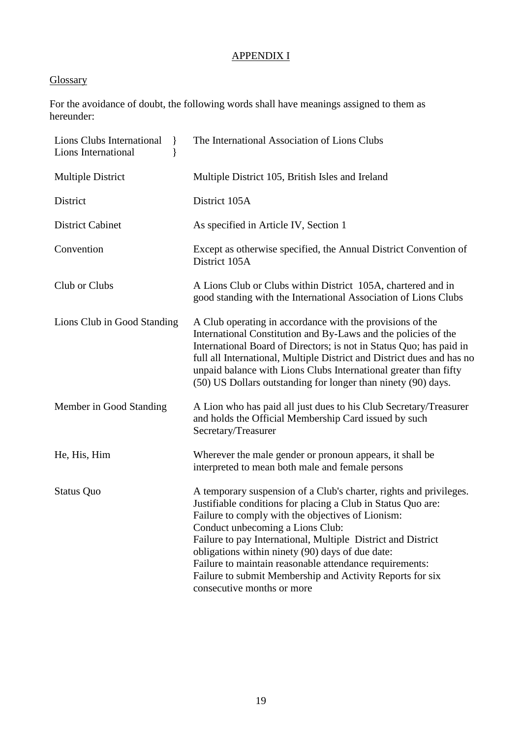# APPENDIX I

# **Glossary**

For the avoidance of doubt, the following words shall have meanings assigned to them as hereunder:

| Lions Clubs International<br>$\mathcal{L}$<br>Lions International<br>ł | The International Association of Lions Clubs                                                                                                                                                                                                                                                                                                                                                                                                                                                          |
|------------------------------------------------------------------------|-------------------------------------------------------------------------------------------------------------------------------------------------------------------------------------------------------------------------------------------------------------------------------------------------------------------------------------------------------------------------------------------------------------------------------------------------------------------------------------------------------|
| <b>Multiple District</b>                                               | Multiple District 105, British Isles and Ireland                                                                                                                                                                                                                                                                                                                                                                                                                                                      |
| District                                                               | District 105A                                                                                                                                                                                                                                                                                                                                                                                                                                                                                         |
| <b>District Cabinet</b>                                                | As specified in Article IV, Section 1                                                                                                                                                                                                                                                                                                                                                                                                                                                                 |
| Convention                                                             | Except as otherwise specified, the Annual District Convention of<br>District 105A                                                                                                                                                                                                                                                                                                                                                                                                                     |
| Club or Clubs                                                          | A Lions Club or Clubs within District 105A, chartered and in<br>good standing with the International Association of Lions Clubs                                                                                                                                                                                                                                                                                                                                                                       |
| Lions Club in Good Standing                                            | A Club operating in accordance with the provisions of the<br>International Constitution and By-Laws and the policies of the<br>International Board of Directors; is not in Status Quo; has paid in<br>full all International, Multiple District and District dues and has no<br>unpaid balance with Lions Clubs International greater than fifty<br>(50) US Dollars outstanding for longer than ninety (90) days.                                                                                     |
| Member in Good Standing                                                | A Lion who has paid all just dues to his Club Secretary/Treasurer<br>and holds the Official Membership Card issued by such<br>Secretary/Treasurer                                                                                                                                                                                                                                                                                                                                                     |
| He, His, Him                                                           | Wherever the male gender or pronoun appears, it shall be<br>interpreted to mean both male and female persons                                                                                                                                                                                                                                                                                                                                                                                          |
| <b>Status Quo</b>                                                      | A temporary suspension of a Club's charter, rights and privileges.<br>Justifiable conditions for placing a Club in Status Quo are:<br>Failure to comply with the objectives of Lionism:<br>Conduct unbecoming a Lions Club:<br>Failure to pay International, Multiple District and District<br>obligations within ninety (90) days of due date:<br>Failure to maintain reasonable attendance requirements:<br>Failure to submit Membership and Activity Reports for six<br>consecutive months or more |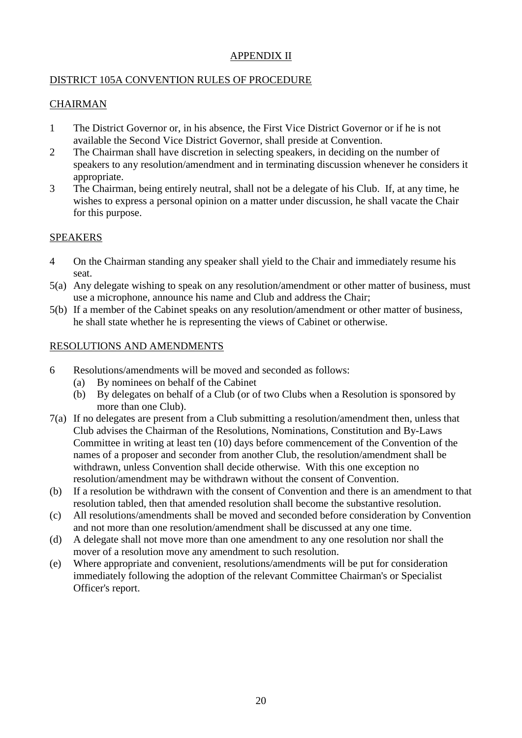# APPENDIX II

# DISTRICT 105A CONVENTION RULES OF PROCEDURE

# CHAIRMAN

- 1 The District Governor or, in his absence, the First Vice District Governor or if he is not available the Second Vice District Governor, shall preside at Convention.
- 2 The Chairman shall have discretion in selecting speakers, in deciding on the number of speakers to any resolution/amendment and in terminating discussion whenever he considers it appropriate.
- 3 The Chairman, being entirely neutral, shall not be a delegate of his Club. If, at any time, he wishes to express a personal opinion on a matter under discussion, he shall vacate the Chair for this purpose.

# SPEAKERS

- 4 On the Chairman standing any speaker shall yield to the Chair and immediately resume his seat.
- 5(a) Any delegate wishing to speak on any resolution/amendment or other matter of business, must use a microphone, announce his name and Club and address the Chair;
- 5(b) If a member of the Cabinet speaks on any resolution/amendment or other matter of business, he shall state whether he is representing the views of Cabinet or otherwise.

# RESOLUTIONS AND AMENDMENTS

- 6 Resolutions/amendments will be moved and seconded as follows:
	- (a) By nominees on behalf of the Cabinet
	- (b) By delegates on behalf of a Club (or of two Clubs when a Resolution is sponsored by more than one Club).
- 7(a) If no delegates are present from a Club submitting a resolution/amendment then, unless that Club advises the Chairman of the Resolutions, Nominations, Constitution and By-Laws Committee in writing at least ten (10) days before commencement of the Convention of the names of a proposer and seconder from another Club, the resolution/amendment shall be withdrawn, unless Convention shall decide otherwise. With this one exception no resolution/amendment may be withdrawn without the consent of Convention.
- (b) If a resolution be withdrawn with the consent of Convention and there is an amendment to that resolution tabled, then that amended resolution shall become the substantive resolution.
- (c) All resolutions/amendments shall be moved and seconded before consideration by Convention and not more than one resolution/amendment shall be discussed at any one time.
- (d) A delegate shall not move more than one amendment to any one resolution nor shall the mover of a resolution move any amendment to such resolution.
- (e) Where appropriate and convenient, resolutions/amendments will be put for consideration immediately following the adoption of the relevant Committee Chairman's or Specialist Officer's report.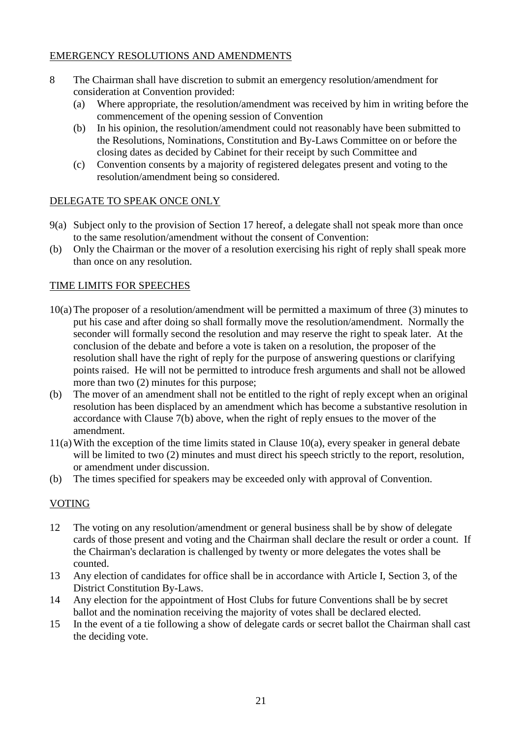# EMERGENCY RESOLUTIONS AND AMENDMENTS

- 8 The Chairman shall have discretion to submit an emergency resolution/amendment for consideration at Convention provided:
	- (a) Where appropriate, the resolution/amendment was received by him in writing before the commencement of the opening session of Convention
	- (b) In his opinion, the resolution/amendment could not reasonably have been submitted to the Resolutions, Nominations, Constitution and By-Laws Committee on or before the closing dates as decided by Cabinet for their receipt by such Committee and
	- (c) Convention consents by a majority of registered delegates present and voting to the resolution/amendment being so considered.

# DELEGATE TO SPEAK ONCE ONLY

- 9(a) Subject only to the provision of Section 17 hereof, a delegate shall not speak more than once to the same resolution/amendment without the consent of Convention:
- (b) Only the Chairman or the mover of a resolution exercising his right of reply shall speak more than once on any resolution.

# TIME LIMITS FOR SPEECHES

- 10(a)The proposer of a resolution/amendment will be permitted a maximum of three (3) minutes to put his case and after doing so shall formally move the resolution/amendment. Normally the seconder will formally second the resolution and may reserve the right to speak later. At the conclusion of the debate and before a vote is taken on a resolution, the proposer of the resolution shall have the right of reply for the purpose of answering questions or clarifying points raised. He will not be permitted to introduce fresh arguments and shall not be allowed more than two (2) minutes for this purpose;
- (b) The mover of an amendment shall not be entitled to the right of reply except when an original resolution has been displaced by an amendment which has become a substantive resolution in accordance with Clause 7(b) above, when the right of reply ensues to the mover of the amendment.
- 11(a)With the exception of the time limits stated in Clause 10(a), every speaker in general debate will be limited to two  $(2)$  minutes and must direct his speech strictly to the report, resolution, or amendment under discussion.
- (b) The times specified for speakers may be exceeded only with approval of Convention.

# VOTING

- 12 The voting on any resolution/amendment or general business shall be by show of delegate cards of those present and voting and the Chairman shall declare the result or order a count. If the Chairman's declaration is challenged by twenty or more delegates the votes shall be counted.
- 13 Any election of candidates for office shall be in accordance with Article I, Section 3, of the District Constitution By-Laws.
- 14 Any election for the appointment of Host Clubs for future Conventions shall be by secret ballot and the nomination receiving the majority of votes shall be declared elected.
- 15 In the event of a tie following a show of delegate cards or secret ballot the Chairman shall cast the deciding vote.